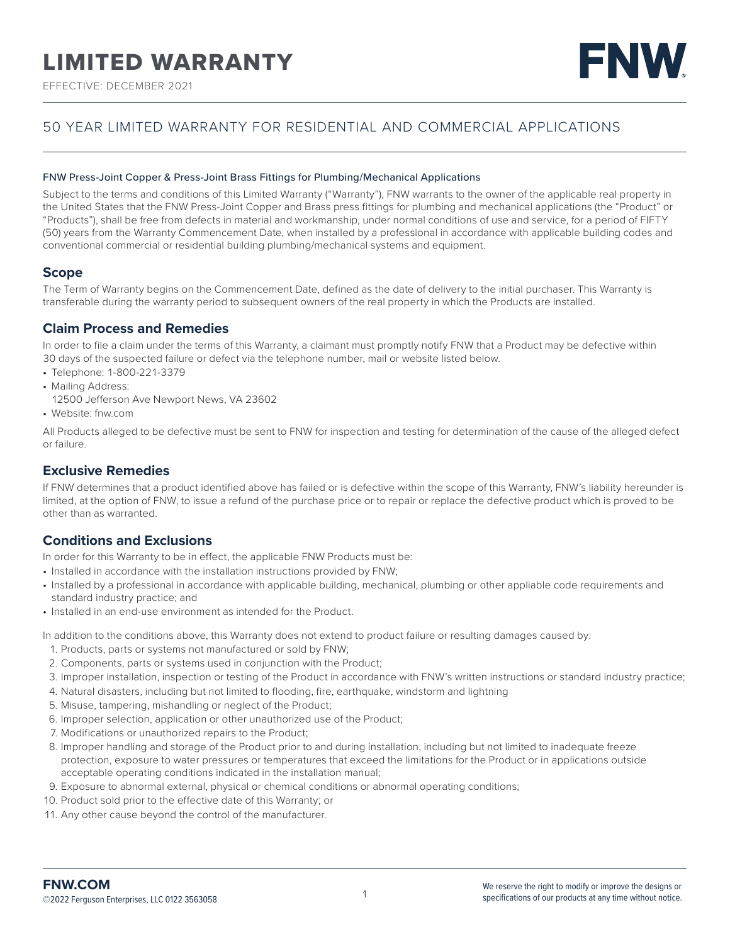# LIMITED WARRANTY

EFFECTIVE: DECEMBER 2021

# FNW

# 50 YEAR LIMITED WARRANTY FOR RESIDENTIAL AND COMMERCIAL APPLICATIONS

#### FNW Press-Joint Copper & Press-Joint Brass Fittings for Plumbing/Mechanical Applications

Subject to the terms and conditions of this Limited Warranty ("Warranty"), FNW warrants to the owner of the applicable real property in the United States that the FNW Press-Joint Copper and Brass press fittings for plumbing and mechanical applications (the "Product" or "Products"), shall be free from defects in material and workmanship, under normal conditions of use and service, for a period of FIFTY (50) years from the Warranty Commencement Date, when installed by a professional in accordance with applicable building codes and conventional commercial or residential building plumbing/mechanical systems and equipment.

#### **Scope**

The Term of Warranty begins on the Commencement Date, defined as the date of delivery to the initial purchaser. This Warranty is transferable during the warranty period to subsequent owners of the real property in which the Products are installed.

#### **Claim Process and Remedies**

In order to file a claim under the terms of this Warranty, a claimant must promptly notify FNW that a Product may be defective within 30 days of the suspected failure or defect via the telephone number, mail or website listed below.

- Telephone: 1-800-221-3379
- Mailing Address:
- 12500 Jefferson Ave Newport News, VA 23602
- Website: fnw.com

All Products alleged to be defective must be sent to FNW for inspection and testing for determination of the cause of the alleged defect or failure.

## **Exclusive Remedies**

If FNW determines that a product identified above has failed or is defective within the scope of this Warranty, FNW's liability hereunder is limited, at the option of FNW, to issue a refund of the purchase price or to repair or replace the defective product which is proved to be other than as warranted.

#### **Conditions and Exclusions**

In order for this Warranty to be in effect, the applicable FNW Products must be:

- Installed in accordance with the installation instructions provided by FNW;
- Installed by a professional in accordance with applicable building, mechanical, plumbing or other appliable code requirements and standard industry practice; and
- Installed in an end-use environment as intended for the Product.

In addition to the conditions above, this Warranty does not extend to product failure or resulting damages caused by:

- 1. Products, parts or systems not manufactured or sold by FNW;
- 2. Components, parts or systems used in conjunction with the Product;
- 3. Improper installation, inspection or testing of the Product in accordance with FNW's written instructions or standard industry practice;
- 4. Natural disasters, including but not limited to flooding, fire, earthquake, windstorm and lightning
- 5. Misuse, tampering, mishandling or neglect of the Product;
- 6. Improper selection, application or other unauthorized use of the Product;
- 7. Modifications or unauthorized repairs to the Product;
- 8. Improper handling and storage of the Product prior to and during installation, including but not limited to inadequate freeze protection, exposure to water pressures or temperatures that exceed the limitations for the Product or in applications outside acceptable operating conditions indicated in the installation manual;
- 9. Exposure to abnormal external, physical or chemical conditions or abnormal operating conditions;
- 10. Product sold prior to the effective date of this Warranty; or
- 11. Any other cause beyond the control of the manufacturer.